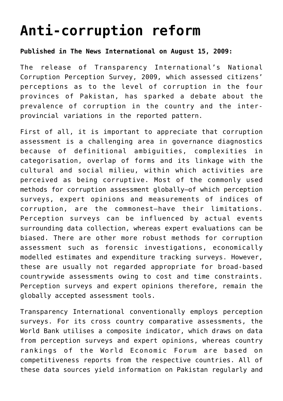## **[Anti-corruption reform](http://www.heartfile.org/viewpoint-52-anti-corruption-reform/)**

## **Published in The News International on August 15, 2009:**

The release of Transparency International's National Corruption Perception Survey, 2009, which assessed citizens' perceptions as to the level of corruption in the four provinces of Pakistan, has sparked a debate about the prevalence of corruption in the country and the interprovincial variations in the reported pattern.

First of all, it is important to appreciate that corruption assessment is a challenging area in governance diagnostics because of definitional ambiguities, complexities in categorisation, overlap of forms and its linkage with the cultural and social milieu, within which activities are perceived as being corruptive. Most of the commonly used methods for corruption assessment globally—of which perception surveys, expert opinions and measurements of indices of corruption, are the commonest—have their limitations. Perception surveys can be influenced by actual events surrounding data collection, whereas expert evaluations can be biased. There are other more robust methods for corruption assessment such as forensic investigations, economically modelled estimates and expenditure tracking surveys. However, these are usually not regarded appropriate for broad-based countrywide assessments owing to cost and time constraints. Perception surveys and expert opinions therefore, remain the globally accepted assessment tools.

Transparency International conventionally employs perception surveys. For its cross country comparative assessments, the World Bank utilises a composite indicator, which draws on data from perception surveys and expert opinions, whereas country rankings of the World Economic Forum are based on competitiveness reports from the respective countries. All of these data sources yield information on Pakistan regularly and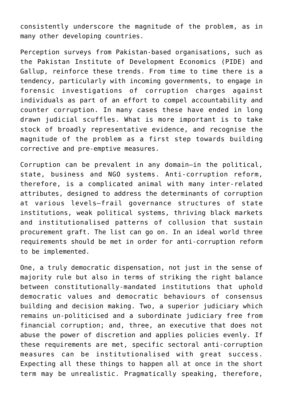consistently underscore the magnitude of the problem, as in many other developing countries.

Perception surveys from Pakistan-based organisations, such as the Pakistan Institute of Development Economics (PIDE) and Gallup, reinforce these trends. From time to time there is a tendency, particularly with incoming governments, to engage in forensic investigations of corruption charges against individuals as part of an effort to compel accountability and counter corruption. In many cases these have ended in long drawn judicial scuffles. What is more important is to take stock of broadly representative evidence, and recognise the magnitude of the problem as a first step towards building corrective and pre-emptive measures.

Corruption can be prevalent in any domain—in the political, state, business and NGO systems. Anti-corruption reform, therefore, is a complicated animal with many inter-related attributes, designed to address the determinants of corruption at various levels—frail governance structures of state institutions, weak political systems, thriving black markets and institutionalised patterns of collusion that sustain procurement graft. The list can go on. In an ideal world three requirements should be met in order for anti-corruption reform to be implemented.

One, a truly democratic dispensation, not just in the sense of majority rule but also in terms of striking the right balance between constitutionally-mandated institutions that uphold democratic values and democratic behaviours of consensus building and decision making. Two, a superior judiciary which remains un-politicised and a subordinate judiciary free from financial corruption; and, three, an executive that does not abuse the power of discretion and applies policies evenly. If these requirements are met, specific sectoral anti-corruption measures can be institutionalised with great success. Expecting all these things to happen all at once in the short term may be unrealistic. Pragmatically speaking, therefore,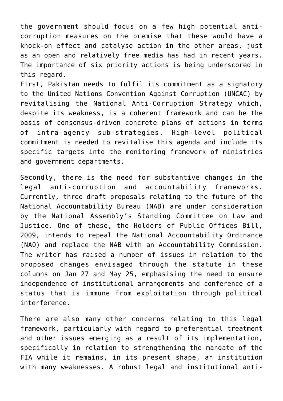the government should focus on a few high potential anticorruption measures on the premise that these would have a knock-on effect and catalyse action in the other areas, just as an open and relatively free media has had in recent years. The importance of six priority actions is being underscored in this regard.

First, Pakistan needs to fulfil its commitment as a signatory to the United Nations Convention Against Corruption (UNCAC) by revitalising the National Anti-Corruption Strategy which, despite its weakness, is a coherent framework and can be the basis of consensus-driven concrete plans of actions in terms of intra-agency sub-strategies. High-level political commitment is needed to revitalise this agenda and include its specific targets into the monitoring framework of ministries and government departments.

Secondly, there is the need for substantive changes in the legal anti-corruption and accountability frameworks. Currently, three draft proposals relating to the future of the National Accountability Bureau (NAB) are under consideration by the National Assembly's Standing Committee on Law and Justice. One of these, the Holders of Public Offices Bill, 2009, intends to repeal the National Accountability Ordinance (NAO) and replace the NAB with an Accountability Commission. The writer has raised a number of issues in relation to the proposed changes envisaged through the statute in these columns on Jan 27 and May 25, emphasising the need to ensure independence of institutional arrangements and conference of a status that is immune from exploitation through political interference.

There are also many other concerns relating to this legal framework, particularly with regard to preferential treatment and other issues emerging as a result of its implementation, specifically in relation to strengthening the mandate of the FIA while it remains, in its present shape, an institution with many weaknesses. A robust legal and institutional anti-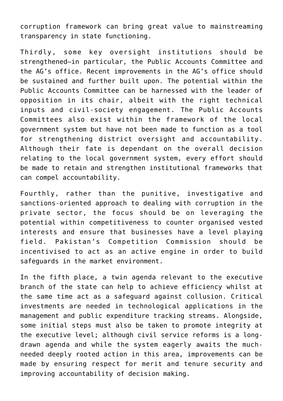corruption framework can bring great value to mainstreaming transparency in state functioning.

Thirdly, some key oversight institutions should be strengthened—in particular, the Public Accounts Committee and the AG's office. Recent improvements in the AG's office should be sustained and further built upon. The potential within the Public Accounts Committee can be harnessed with the leader of opposition in its chair, albeit with the right technical inputs and civil-society engagement. The Public Accounts Committees also exist within the framework of the local government system but have not been made to function as a tool for strengthening district oversight and accountability. Although their fate is dependant on the overall decision relating to the local government system, every effort should be made to retain and strengthen institutional frameworks that can compel accountability.

Fourthly, rather than the punitive, investigative and sanctions-oriented approach to dealing with corruption in the private sector, the focus should be on leveraging the potential within competitiveness to counter organised vested interests and ensure that businesses have a level playing field. Pakistan's Competition Commission should be incentivised to act as an active engine in order to build safeguards in the market environment.

In the fifth place, a twin agenda relevant to the executive branch of the state can help to achieve efficiency whilst at the same time act as a safeguard against collusion. Critical investments are needed in technological applications in the management and public expenditure tracking streams. Alongside, some initial steps must also be taken to promote integrity at the executive level; although civil service reforms is a longdrawn agenda and while the system eagerly awaits the muchneeded deeply rooted action in this area, improvements can be made by ensuring respect for merit and tenure security and improving accountability of decision making.